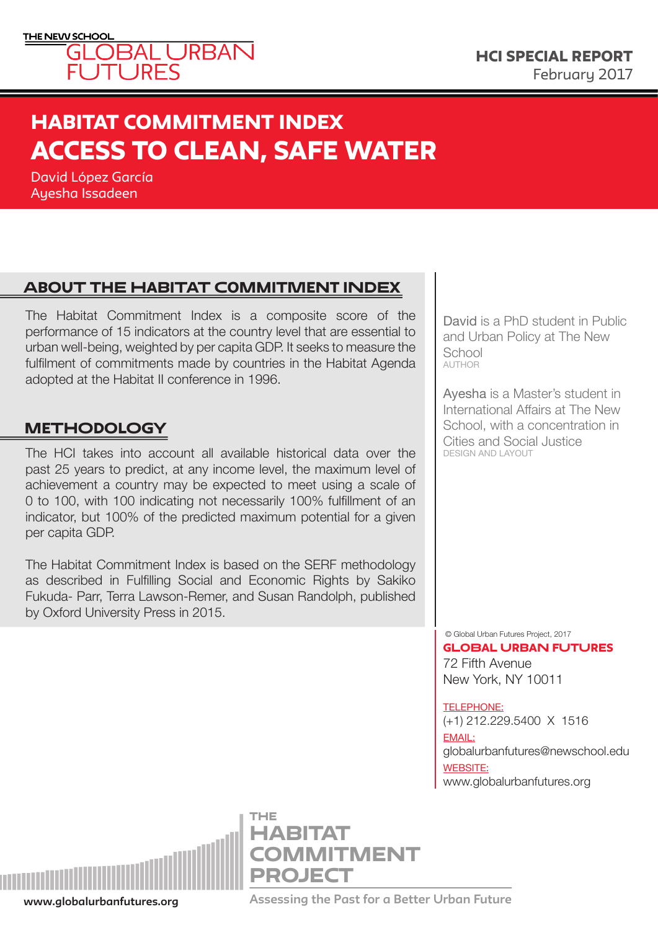

# HABITAT COMMITMENT INDEX<br>A GATAC TO ALT 1 N LO 1 TH 1 1 1 1 2 1 TH ACCESS TO CLEAN, SAFE WATER

David López García Ayesha Issadeen

## About the habitat commitment index

The Habitat Commitment Index is a composite score of the performance of 15 indicators at the country level that are essential to urban well-being, weighted by per capita GDP. It seeks to measure the fulfilment of commitments made by countries in the Habitat Agenda adopted at the Habitat II conference in 1996.

### **METHODOLOGY**

The HCI takes into account all available historical data over the past 25 years to predict, at any income level, the maximum level of achievement a country may be expected to meet using a scale of 0 to 100, with 100 indicating not necessarily 100% fulfillment of an indicator, but 100% of the predicted maximum potential for a given per capita GDP.

The Habitat Commitment Index is based on the SERF methodology as described in Fulfilling Social and Economic Rights by Sakiko Fukuda- Parr, Terra Lawson-Remer, and Susan Randolph, published by Oxford University Press in 2015.

David is a PhD student in Public and Urban Policy at The New **School** AUTHOR

Ayesha is a Master's student in International Affairs at The New School, with a concentration in Cities and Social Justice DESIGN AND LAYOUT

© Global Urban Futures Project, 2017

72 Fifth Avenue New York, NY 10011 GLOBAL URBAN FUTURES

#### TELEPHONE:

(+1) 212.229.5400 X 1516 EMAIL: globalurbanfutures@newschool.edu WEBSITE: <www.globalurbanfutures.org>



**COMMITMENT** PROJECT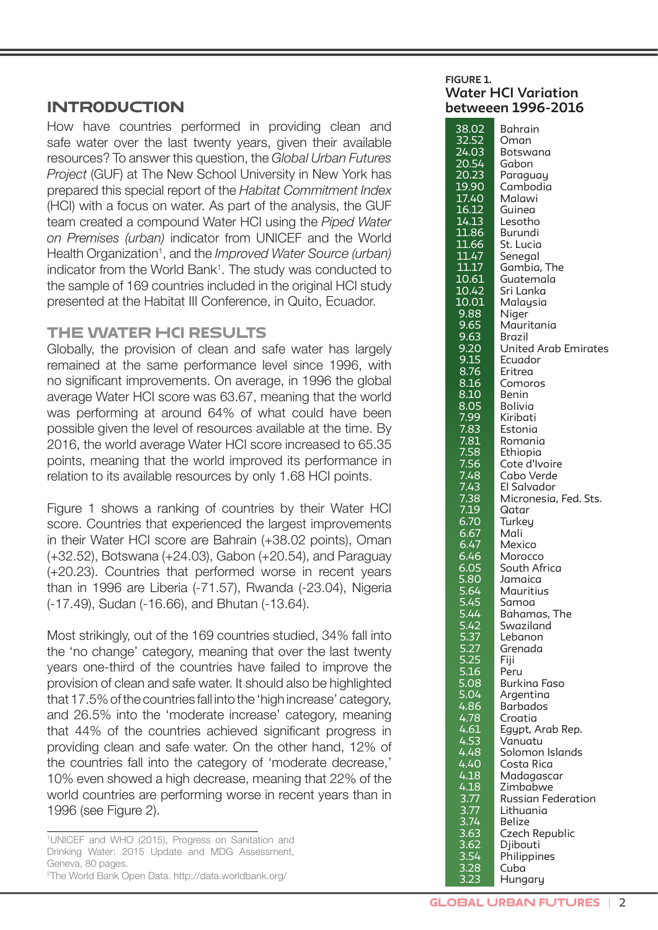### **INTRODUCTION**

How have countries performed in providing clean and safe water over the last twenty years, given their available resources? To answer this question, the *Global Urban Futures Project* (GUF) at The New School University in New York has prepared this special report of the *Habitat Commitment Index* (HCI) with a focus on water. As part of the analysis, the GUF team created a compound Water HCI using the *Piped Water on Premises (urban)* indicator from UNICEF and the World Health Organization<sup>1</sup>, and the *Improved Water Source (urban)* indicator from the World Bank<sup>1</sup>. The study was conducted to the sample of 169 countries included in the original HCI study presented at the Habitat III Conference, in Quito, Ecuador.

### THE WATER HCI RESULTS

Globally, the provision of clean and safe water has largely remained at the same performance level since 1996, with no significant improvements. On average, in 1996 the global average Water HCI score was 63.67, meaning that the world was performing at around 64% of what could have been possible given the level of resources available at the time. By 2016, the world average Water HCI score increased to 65.35 points, meaning that the world improved its performance in relation to its available resources by only 1.68 HCI points.

Figure 1 shows a ranking of countries by their Water HCI score. Countries that experienced the largest improvements in their Water HCI score are Bahrain (+38.02 points), Oman (+32.52), Botswana (+24.03), Gabon (+20.54), and Paraguay (+20.23). Countries that performed worse in recent years than in 1996 are Liberia (-71.57), Rwanda (-23.04), Nigeria (-17.49), Sudan (-16.66), and Bhutan (-13.64).

Most strikingly, out of the 169 countries studied, 34% fall into the 'no change' category, meaning that over the last twenty years one-third of the countries have failed to improve the provision of clean and safe water. It should also be highlighted that 17.5% of the countries fall into the 'high increase' category, and 26.5% into the 'moderate increase' category, meaning that 44% of the countries achieved significant progress in providing clean and safe water. On the other hand, 12% of the countries fall into the category of 'moderate decrease,' 10% even showed a high decrease, meaning that 22% of the world countries are performing worse in recent years than in 1996 (see Figure 2).

1 UNICEF and WHO (2015), Progress on Sanitation and Drinking Water: 2015 Update and MDG Assessment, Geneva, 80 pages. 2 The World Bank Open Data. http://data.worldbank.org/

#### **FIGURE 1. Water HCI Variation betweeen 1996-2016**

| 38.02                                      | Bahrain                     |
|--------------------------------------------|-----------------------------|
| 32.52                                      | Oman                        |
| 24.03                                      |                             |
|                                            | Botswana                    |
| 20.54                                      | Gabon                       |
| 20.23                                      | Paraguay                    |
| 19.90                                      | Cambodia                    |
|                                            |                             |
| <u> 17.40</u>                              | Malawi                      |
| 16.12                                      | Guinea                      |
| 14.13                                      | Lesotho                     |
| <u> 11.86</u>                              | Burundi                     |
| 11.66                                      | St. Lucia                   |
|                                            |                             |
| 11.47                                      | Senegal                     |
| 11.17                                      | Gambia, The                 |
| 10.61                                      | Guatemala                   |
| 10.42                                      | Sri Lanka                   |
| <u>10.01</u>                               | Malaysia                    |
|                                            |                             |
| 9.88                                       | Niger                       |
| 9.65                                       | Mauritania                  |
|                                            | Brazil                      |
| 9.63<br>9.20                               | <b>United Arab Emirates</b> |
|                                            |                             |
| 9.15                                       | Ecuador                     |
| 8.76                                       | Eritrea                     |
| 8.16                                       | Comoros                     |
| 8.10                                       | Benin                       |
| 8.05                                       | Bolivia                     |
| <u>7.99</u>                                | Kiribati                    |
|                                            |                             |
| 7.83                                       | Estonia                     |
| 7.81                                       | Romania                     |
| 7.58                                       | Ethiopia                    |
| 7.56                                       | Cote d'Ivoire               |
| 7.48                                       | Cabo Verde                  |
|                                            |                             |
| 7.43                                       | El Salvador                 |
| 7.38                                       | Micronesia, Fed. Sts.       |
| 7.19                                       | Qatar                       |
| 6.70                                       | Turkey                      |
| 6.67                                       | Mali                        |
|                                            |                             |
| 6.47                                       | Mexico                      |
| 6.46                                       | Morocco                     |
| 6.05                                       | South Africa                |
| 5.80                                       | Jamaica                     |
| 5.64                                       | Mauritius                   |
| 5.45                                       | Samoa                       |
|                                            |                             |
| $\overline{5.44}$                          | Bahamas, The                |
| 5.42                                       | Swaziland                   |
| 5.37                                       | Lebanon                     |
| 5.27                                       | Grenada                     |
| 5.25                                       | Fiji                        |
| 5.16                                       |                             |
|                                            | Peru                        |
| 5.08                                       | <b>Burkina Faso</b>         |
| 5.04                                       | Argentina                   |
| 4.86                                       | Barbados                    |
| 4.78                                       | Croatia                     |
| 4.61                                       | Egypt, Arab Rep.            |
|                                            |                             |
| 4.53                                       | Vanuatu                     |
| 4.48                                       | Solomon Islands             |
| 4.40                                       | Costa Rica                  |
| 4.18                                       | Madagascar                  |
|                                            | Zimbabwe                    |
|                                            |                             |
|                                            | <b>Russian Federation</b>   |
|                                            | Lithuania                   |
| $\frac{4.18}{3.77}$<br>$\frac{3.77}{3.74}$ | Belize                      |
| $3.\overline{63}$                          | Czech Republic              |
|                                            | Djibouti                    |
| 3.62<br>3.54                               |                             |
|                                            | Philippines                 |
| 3.28                                       | Cuba                        |
| $3.\overline{23}$                          | Hungary                     |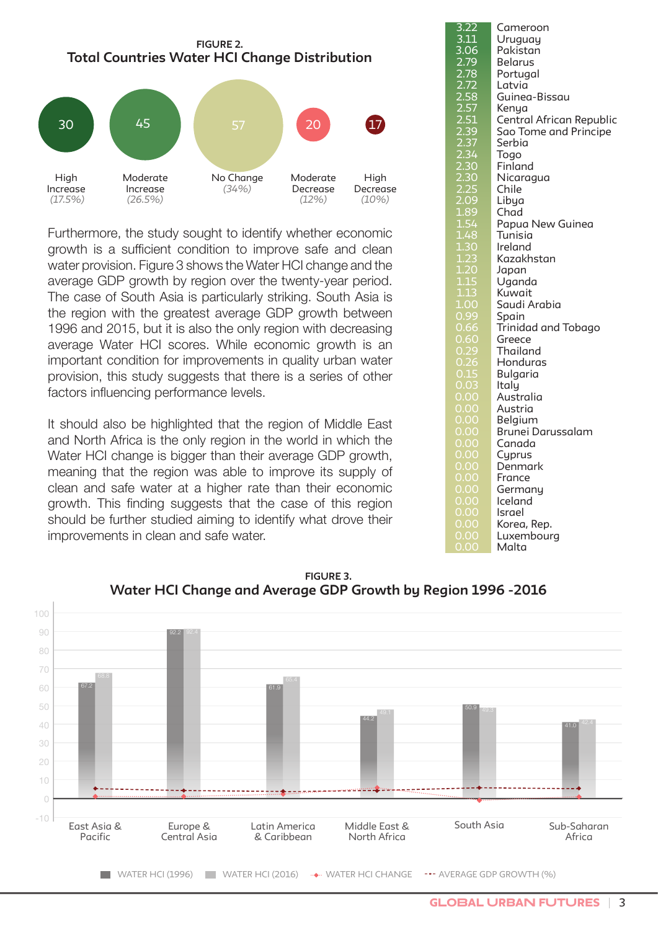

Furthermore, the study sought to identify whether economic growth is a sufficient condition to improve safe and clean water provision. Figure 3 shows the Water HCI change and the average GDP growth by region over the twenty-year period. The case of South Asia is particularly striking. South Asia is the region with the greatest average GDP growth between 1996 and 2015, but it is also the only region with decreasing average Water HCI scores. While economic growth is an important condition for improvements in quality urban water provision, this study suggests that there is a series of other factors influencing performance levels.

It should also be highlighted that the region of Middle East and North Africa is the only region in the world in which the Water HCI change is bigger than their average GDP growth, meaning that the region was able to improve its supply of clean and safe water at a higher rate than their economic growth. This finding suggests that the case of this region should be further studied aiming to identify what drove their improvements in clean and safe water.

|                                      | Cameroon                 |
|--------------------------------------|--------------------------|
| 3.22<br>3.11                         | Uruguay                  |
|                                      | Pakistan                 |
| $\frac{3.06}{2.79}$                  |                          |
|                                      | <b>Belarus</b>           |
| 2.78                                 | Portugal                 |
| 2.72<br>2.58                         | Latvia                   |
|                                      | Guinea-Bissau            |
|                                      | Kenya                    |
|                                      | Central African Republic |
|                                      | Sao Tome and Principe    |
| 2.57<br>2.57<br>2.39<br>2.37<br>2.34 | Serbia                   |
|                                      | Togo                     |
|                                      | Finland                  |
| 2.30<br>2.30<br>2.25                 | Nicaragua                |
|                                      | Chile                    |
| 2.09                                 | Libya                    |
| 1.89                                 |                          |
|                                      | Chad                     |
| 1.54                                 | Papua New Guinea         |
| $\frac{1.48}{1.2}$                   | Tunisia                  |
| 1.30                                 | Ireland                  |
| $1.\overline{23}$                    | Kazakhstan               |
| 1.20<br>1.15<br><b>1</b> .13         | Japan                    |
|                                      | Uganda                   |
| $\overline{1.13}$                    | Kuwait                   |
| 1.00                                 | Saudi Arabia             |
| 0.99                                 | Spain                    |
| 0.66                                 | Trinidad and Tobago      |
| 0.60                                 | Greece                   |
| 0.29                                 | Thailand                 |
|                                      | Honduras                 |
| $0.26$<br>$0.15$                     | Bulgaria                 |
| 0.03                                 | Italy                    |
| 0.00                                 |                          |
|                                      | Australia                |
| <u>0.00</u>                          | Austria                  |
| O<br>.00                             | Belgium                  |
| 0<br>.00                             | Brunei Darussalam        |
| O<br>$\overline{0}0$                 | Canada                   |
| O<br>.00                             | Cyprus                   |
| Ō<br>.00                             | Denmark                  |
| $\circ$<br>.00                       | France                   |
| 0<br>.00                             | Germany                  |
| 0.00                                 | Iceland                  |
| O<br>.00                             | Israel                   |
| <u>.oo</u><br>O                      | Korea, Rep.              |
| Ō<br>OO                              | Luxembourg               |
| O<br>.OO                             | Malta                    |
|                                      |                          |



#### $\sim$ 0.00 **FIGURE 3.**